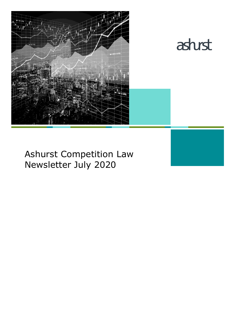



# Ashurst Competition Law Newsletter July 2020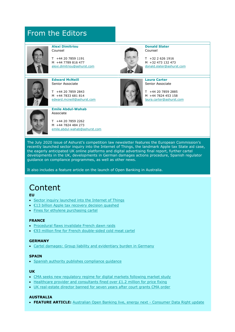# From the Editors



**Alexi Dimitriou** Counsel

T +44 20 7859 1191 M +44 7789 816 477 [alexi.dimitriou@ashurst.com](mailto:alexi.dimitriou@ashurst.com)



Counsel T +32 2 626 1916 M +32 473 132 473

**Donald Slater**

**Laura Carter** Senior Associate

T +44 20 7859 2885 M +44 7824 453 158 [laura.carter@ashurst.com](mailto:laura.carter@ashurst.com)

[donald.slater@ashurst.com](mailto:donald.slater@ashurst.com)



**Edward McNeill** Senior Associate

T +44 20 7859 2843 M +44 7833 681 814 [edward.mcneill@ashurst.com](mailto:edward.mcneill@ashurst.com)



**Emile Abdul-Wahab** Associate

T +44 20 7859 2262 M +44 7824 484 273 [emile.abdul-wahab@ashurst.com](mailto:emile.abdul-wahab@ashurst.com)

The July 2020 issue of Ashurst's competition law newsletter features the European Commission's recently launched sector inquiry into the Internet of Things, the landmark Apple tax State aid case, the eagerly anticipated UK online platforms and digital advertising final report, further cartel developments in the UK, developments in German damages actions procedure, Spanish regulator guidance on compliance programmes, as well as other news.

It also includes a feature article on the launch of Open Banking in Australia.

# Content

**EU**

- [Sector inquiry launched into the Internet of Things](#page-2-0)
- [€13 billion Apple tax recovery decision quashed](#page-3-0)
- [Fines for ethylene purchasing cartel](#page-5-0)

### **FRANCE**

- [Procedural flaws invalidate French dawn raids](#page-6-0)
- [€93 million fine for French double](#page-7-0)-sided cold meat cartel

### **GERMANY**

• [Cartel damages: Group liability and evidentiary burden in Germany](#page-8-0)

#### **SPAIN**

• [Spanish authority publishes compliance guidance](#page-9-0)

#### **UK**

- [CMA seeks new regulatory regime for digital markets following market study](#page-11-0)
- [Healthcare provider and consultants fined over £1.2 million for price fixing](#page-13-0)
- [UK real-estate director banned for seven years after court grants CMA order](#page-14-0)

### **AUSTRALIA**

• **FEATURE ARTICLE:** [Australian Open Banking live, energy next -](#page-15-0) Consumer Data Right update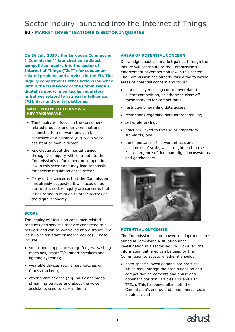<span id="page-2-0"></span>**On [16 July 2020](https://ec.europa.eu/commission/presscorner/detail/en/ip_20_1326) , the European Commission ("Commission") launched an antitrust competition inquiry into the sector of Internet of Things ("IoT") for consumerrelated products and services in the EU. The inquiry complements other actions launched within the framework of the [Commission's](https://ec.europa.eu/digital-single-market/en/content/european-digital-strategy)  [digital strategy,](https://ec.europa.eu/digital-single-market/en/content/european-digital-strategy) in particular regulatory initiatives related to artificial intelligence (AI), data and digital platforms.**

### **WHAT YOU NEED TO KNOW – KEY TAKEAWAYS**

- The inquiry will focus on the consumerrelated products and services that are connected to a network and can be controlled at a distance (e.g. via a voice assistant or mobile device).
- Knowledge about the market gained through the inquiry will contribute to the Commission's enforcement of competition law in this sector and may lead proposals for specific regulation of the sector.
- Many of the concerns that the Commission has already suggested it will focus on as part of this sector inquiry are concerns that it has raised in relation to other sectors of the digital economy.

# **SCOPE**

The inquiry will focus on consumer-related products and services that are connected to a network and can be controlled at a distance (e.g. via a voice assistant or mobile device). These include:

- smart home appliances (e.g. fridges, washing machines, smart TVs, smart speakers and lighting systems);
- wearable devices (e.g. smart watches or fitness trackers);
- other smart devices (e.g. music and video streaming services and about the voice assistants used to access them).

## **AREAS OF POTENTIAL CONCERN**

Knowledge about the market gained through the inquiry will contribute to the Commission's enforcement of competition law in this sector. The Commission has already raised the following areas of potential concern and focus:

- market players using control over data to distort competition, or otherwise close off these markets for competitors;
- restrictions regarding data access;
- restrictions regarding data interoperability;
- self-preferencing;
- practices linked to the use of proprietary standards; and
- the importance of network effects and economies of scale, which might lead to the fast emergence of dominant digital ecosystems and gatekeepers.



#### **POTENTIAL OUTCOMES**

The Commission has no power to adopt measures aimed at remedying a situation under investigation in a sector inquiry. However, the information gathered can be used by the Commission to assess whether it should:

• open specific investigations into practices which may infringe the prohibitions on anticompetitive agreements and abuse of a dominant position (Articles 101 and 102 TFEU). This happened after both the Commission's energy and e-commerce sector inquiries; and

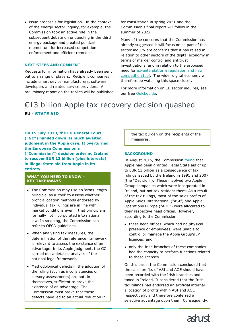• issue proposals for legislation. In the context of the energy sector inquiry, for example, the Commission took an active role in the subsequent debate on unbundling in the third energy package and created political momentum for increased competition enforcement and efficient remedies.

#### **NEXT STEPS AND COMMENT**

Requests for information have already been sent out to a range of players. Recipient companies include smart device manufacturers, software developers and related service providers. A preliminary report on the replies will be published for consultation in spring 2021 and the Commission's final report will follow in the summer of 2022.

Many of the concerns that the Commission has already suggested it will focus on as part of this sector inquiry are concerns that it has raised in relation to other sectors of the digital economy in terms of merger control and antitrust investigations, and in relation to the proposed need for [ex-ante platform regulation and new](https://www.ashurst.com/en/news-and-insights/legal-updates/competition-law-newsletter-may---june-2020/cn06-new-competition-tool-and-ex-ante-regulation-of-digital-platforms/)  [competition tool.](https://www.ashurst.com/en/news-and-insights/legal-updates/competition-law-newsletter-may---june-2020/cn06-new-competition-tool-and-ex-ante-regulation-of-digital-platforms/) The wider digital economy will therefore be watching this space closely.

For more information on EU sector inquires, see our free Ouickguide.

# <span id="page-3-0"></span>€13 billion Apple tax recovery decision quashed **EU - STATE AID**

**On 15 July 2020, the EU General Court ("GC") handed down its much awaited [judgment](http://curia.europa.eu/juris/document/document.jsf?text=&docid=228621&pageIndex=0&doclang=EN&mode=lst&dir=&occ=first&part=1&cid=10446867) in the Apple case. It overturned the European Commission's ("Commission") decision ordering Ireland to recover EUR 13 billion (plus interests) in illegal State aid from Apple in its entirety.**

#### **WHAT YOU NEED TO KNOW – KEY TAKEAWAYS**

- The Commission may use an 'arms-length principle' as a 'tool' to assess whether profit allocation methods endorsed by individual tax rulings are in line with market conditions even if that principle is formally not incorporated into national law. In so doing, the Commission can refer to OECD guidelines.
- When analysing tax measures, the determination of the reference framework is relevant to assess the existence of an advantage. In its Apple judgment, the GC carried out a detailed analysis of the national legal framework.
- Methodological defects in the adoption of the ruling (such as inconsistencies or cursory assessments) are not, in themselves, sufficient to prove the existence of an advantage. The Commission must prove that these defects have led to an actual reduction in

the tax burden on the recipients of the measures.

#### **BACKGROUND**

In August 2016, the Commission [found](https://ec.europa.eu/competition/state_aid/cases/253200/253200_1851004_674_2.pdf) that Apple had been granted illegal State aid of up to EUR 13 billion as a consequence of tax rulings issued by the Ireland in 1991 and 2007 (the "Decision"). These involved two Apple Group companies which were incorporated in Ireland, but not tax resident there. As a result of the tax rulings, most of the sales profits of Apple Sales International ("ASI") and Apple Operations Europe ("AOE") were allocated to their respective head offices. However, according to the Commission:

- these head offices, which had no physical presence or employees, were unable to control or manage the Apple Group's IP licences; and
- only the Irish branches of these companies had the capacity to perform functions related to those licenses.

On this basis, the Commission concluded that the sales profits of ASI and AOE should have been recorded with the Irish branches and taxed in Ireland. It considered that the Irish tax rulings had endorsed an artificial internal allocation of profits within ASI and AOE respectively, and therefore conferred a selective advantage upon them. Consequently,

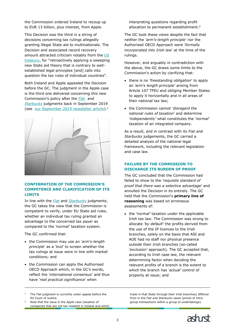the Commission ordered Ireland to recoup up to EUR 13 billion, plus interest, from Apple.

This Decision was the third in a string of decisions concerning tax rulings allegedly granting illegal State aid to multinationals. The Decision and associated record recovery amount attracted criticism notably from the [US](https://www.treasury.gov/press-center/press-releases/Pages/jl0687.aspx)  [treasury,](https://www.treasury.gov/press-center/press-releases/Pages/jl0687.aspx) for "retroactively applying a sweeping new State aid theory that is contrary to wellestablished legal principles [and] calls into question the tax rules of individual countries".

Both Ireland and Apple appealed the Decision before the GC. The judgment in the Apple case is the third one delivered concerning this new Commission's policy after the *[Fiat](http://curia.europa.eu/juris/document/document.jsf?text=&docid=218102&pageIndex=0&doclang=EN&mode=lst&dir=&occ=first&part=1&cid=336162)* and *[Starbucks](http://curia.europa.eu/juris/document/document.jsf?text=&docid=218101&pageIndex=0&doclang=en&mode=lst&dir=&occ=first&part=1&cid=237426)* judgments back in September 2019 (see [our September 2019 newsletter article\)](https://www.ashurst.com/en/news-and-insights/legal-updates/starbucks-win-and-fiat-lose---first-judgments-on-legality-of-tax-rulings/).<sup>1</sup>



### **CONFIRMATION OF THE COMMISSION'S COMPETENCE AND CLARIFICATION OF ITS LIMITS**

In line with the *[Fiat](http://curia.europa.eu/juris/document/document.jsf?text=&docid=218102&pageIndex=0&doclang=EN&mode=lst&dir=&occ=first&part=1&cid=336162)* and *[Starbucks](http://curia.europa.eu/juris/document/document.jsf?text=&docid=218101&pageIndex=0&doclang=en&mode=lst&dir=&occ=first&part=1&cid=237426)* judgments, the GC takes the view that the Commission is competent to verify, under EU State aid rules, whether an individual tax ruling granted an advantage to the concerned tax payer as compared to the *'normal'* taxation system.

The GC confirmed that:

ł

- the Commission may use an '*arm's-length principle*' as a '*tool*' to screen whether the tax rulings at issue were in line with market conditions; and
- the Commission can apply the Authorised OECD Approach which, in the GC's words, reflect the '*international consensus*' and thus have '*real practical significance*' when

<sup>1</sup> The *Fiat* judgment is currently under appeal before the EU Court of Justice.

<sup>2</sup> Note that the issue in the *Apple* case (taxation of companies that are not tax resident in Ireland and which interpreting questions regarding profit allocation to permanent establishment. 2

The GC took these views despite the fact that neither the *'arm's-length principle'* nor the Authorised OECD Approach were '*formally incorporated into Irish law*' at the time of the rulings.

However, and arguably in contradiction with the above, the GC draws some limits to the Commission's action by clarifying that:

- there is no *'freestanding obligation*' to apply an *'arm's length principle'* arising from Article 107 TFEU and obliging Member States to apply it horizontally and in all areas of their national tax law;
- the Commission cannot '*disregard the national rules of taxation*' and determine *'independently'* what constitutes the *'normal'* taxation of an integrated company.

As a result, and in contrast with its *Fiat* and *Starbucks* judgements, the GC carried a detailed analysis of the national legal framework, including the relevant legislation and case law.

### **FAILURE BY THE COMMISSION TO DISCHARGE ITS BURDEN OF PROOF**

The GC concluded that the Commission had failed to show to the *'requisite standard of proof that there was a selective advantage*' and annulled the Decision in its entirely. The GC held that the Commission's **primary line of reasoning** was based on erroneous assessments of:

• the *'normal'* taxation under the applicable Irish tax law. The Commission was wrong to allocate *'by default'* the profits derived from the use of the IP licences to the Irish branches, solely on the basis that ASI and AOE had no staff nor physical presence outside their Irish branches (so-called *'exclusion'* approach). The GC accepted that, according to Irish case law, the relevant determining factor when deciding the relevant profits of a branch is the extent to which the branch has *'actual'* control of property at issue; and

trade in that State through their Irish branches) differed from in the *Fiat* and *Starbucks* cases (prices of intragroup transactions within a group of undertakings).

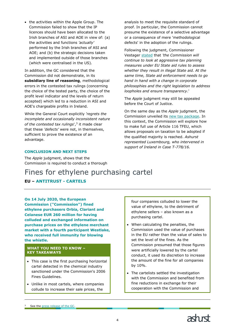• the activities within the Apple Group. The Commission failed to show that the IP licences should have been allocated to the Irish branches of ASI and AOE in view of: (a) the activities and functions *'actually'* performed by the Irish branches of ASI and AOE; and (b) the strategic decisions taken and implemented outside of those branches (which were centralised in the US).

In addition, the GC considered that the Commission did not demonstrate, in its **subsidiary line of reasoning**, methodological errors in the contested tax rulings (concerning the choice of the tested party, the choice of the profit level indicator and the levels of return accepted) which led to a reduction in ASI and AOE's chargeable profits in Ireland.

While the General Court explicitly *'regrets the incomplete and occasionally inconsistent nature of the contested tax rulings*', 3 it made clear that these *'defects'* were not, in themselves, sufficient to prove the existence of an advantage.

analysis to meet the requisite standard of proof. In particular, the Commission cannot presume the existence of a selective advantage or a consequence of mere 'methodological defects' in the adoption of the rulings.

Following the judgment, Commissioner Vestager [stated](https://ec.europa.eu/commission/presscorner/detail/en/statement_20_1356) that *'the Commission will continue to look at aggressive tax planning measures under EU State aid rules to assess whether they result in illegal State aid. At the same time, State aid enforcement needs to go hand in hand with a change in corporate philosophies and the right legislation to address loopholes and ensure transparency*.'

The *Apple* judgment may still be appealed before the Court of Justice.

On the same day as the *Apple* judgment, the Commission unveiled its [new tax package.](https://ec.europa.eu/commission/presscorner/detail/en/ip_20_1334) In this context, the Commission will explore how to make full use of Article 116 TFEU, which allows proposals on taxation to be adopted if the qualified majority is reached. *Ashurst represented Luxembourg, who intervened in support of Ireland in Case T-778/16.*

### **CONCLUSION AND NEXT STEPS**

The *Apple* judgment, shows that the Commission is required to conduct a thorough

# <span id="page-5-0"></span>Fines for ethylene purchasing cartel

# **EU – ANTITRUST - CARTELS**

**On 14 July 2020, the European Commission ("Commission") fined ethylene purchasers Orbia, Clariant and Celanese EUR 260 million for having colluded and exchanged information on purchase prices on the ethylene merchant market with a fourth participant Westlake, who received full immunity for blowing the whistle.**

#### **WHAT YOU NEED TO KNOW – KEY TAKEAWAYS**

- This case is the first purchasing horizontal cartel detected in the chemical industry sanctioned under the Commission's 2006 Fines Guidelines.
- Unlike in most cartels, where companies collude to increase their sale prices, the

four companies colluded to lower the value of ethylene, to the detriment of ethylene sellers – also known as a purchasing cartel.

- When calculating the penalties, the Commission used the value of purchases in the EU rather than the value of sales to set the level of the fines. As the Commission presumed that those figures were artificially lowered by the cartel conduct, it used its discretion to increase the amount of the fine for all companies by 10%.
- The cartelists settled the investigation with the Commission and benefited from fine reductions in exchange for their cooperation with the Commission and

ł

See the [press release of the GC.](https://curia.europa.eu/jcms/upload/docs/application/pdf/2020-07/cp200090en.pdf)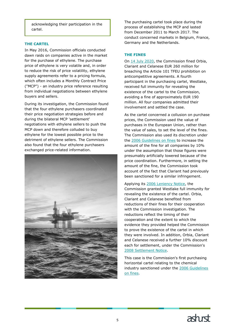acknowledging their participation in the cartel.

### **THE CARTEL**

In May 2016, Commission officials conducted dawn raids on companies active in the market for the purchase of ethylene. The purchase price of ethylene is very volatile and, in order to reduce the risk of price volatility, ethylene supply agreements refer to a pricing formula, which often includes a Monthly Contract Price ("MCP") - an industry price reference resulting from individual negotiations between ethylene buyers and sellers.

During its investigation, the Commission found that the four ethylene purchasers coordinated their price negotiation strategies before and during the bilateral MCP 'settlement' negotiations with ethylene sellers to push the MCP down and therefore colluded to buy ethylene for the lowest possible price to the detriment of ethylene sellers. The Commission also found that the four ethylene purchasers exchanged price-related information.



The purchasing cartel took place during the process of establishing the MCP and lasted from December 2011 to March 2017. The conduct concerned markets in Belgium, France, Germany and the Netherlands.

## **THE FINES**

On [14 July 2020,](https://ec.europa.eu/commission/presscorner/detail/en/ip_20_1348) the Commission fined Orbia, Clariant and Celanese EUR 260 million for breaching the Article 101 TFEU prohibition on anticompetitive agreements. A fourth participant in the purchasing cartel, Westlake, received full immunity for revealing the existence of the cartel to the Commission, avoiding a fine of approximately EUR 190 million. All four companies admitted their involvement and settled the case.

As the cartel concerned a collusion on purchase prices, the Commission used the value of purchases in the European Union, rather than the value of sales, to set the level of the fines. The Commission also used its discretion under the [2006 Guidelines on fines](https://eur-lex.europa.eu/legal-content/EN/TXT/PDF/?uri=CELEX:52006XC0901(01)&from=EN) to increase the amount of the fine for all companies by 10% under the assumption that those figures were presumably artificially lowered because of the price coordination. Furthermore, in setting the amount of the fine, the Commission took account of the fact that Clariant had previously been sanctioned for a similar infringement.

Applying its [2006 Leniency Notice,](https://eur-lex.europa.eu/legal-content/EN/TXT/PDF/?uri=CELEX:52006XC1208(04)&from=EN) the Commission granted Westlake full immunity for revealing the existence of the cartel. Orbia, Clariant and Celanese benefited from reductions of their fines for their cooperation with the Commission investigation. The reductions reflect the timing of their cooperation and the extent to which the evidence they provided helped the Commission to prove the existence of the cartel in which they were involved. In addition, Orbia, Clariant and Celanese received a further 10% discount each for settlement, under the Commission's [2008 Settlement Notice.](https://eur-lex.europa.eu/legal-content/EN/TXT/HTML/?uri=CELEX:52008XC0702(01)&from=EN)

<span id="page-6-0"></span>This case is the Commission's first purchasing horizontal cartel relating to the chemical industry sanctioned under the 2006 Guidelines [on fines.](https://eur-lex.europa.eu/legal-content/EN/TXT/PDF/?uri=CELEX:52006XC0901(01)&from=EN)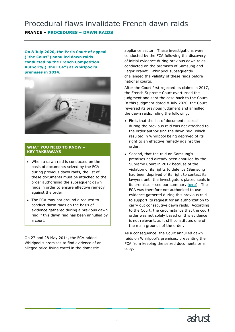# Procedural flaws invalidate French dawn raids

# **FRANCE – PROCEDURES – DAWN RAIDS**

**On 8 July 2020, the Paris Court of appeal ("the Court") annulled dawn raids conducted by the French Competition Authority ("the FCA") at Whirlpool's premises in 2014.**



#### **WHAT YOU NEED TO KNOW – KEY TAKEAWAYS**

- When a dawn raid is conducted on the basis of documents seized by the FCA during previous dawn raids, the list of these documents must be attached to the order authorising the subsequent dawn raids in order to ensure effective remedy against the order.
- The FCA may not ground a request to conduct dawn raids on the basis of evidence gathered during a previous dawn raid if this dawn raid has been annulled by a court.

<span id="page-7-0"></span>On 27 and 28 May 2014, the FCA raided Whirlpool's premises to find evidence of an alleged price-fixing cartel in the domestic

appliance sector. These investigations were conducted by the FCA following the discovery of initial evidence during previous dawn raids conducted on the premises of Samsung and Fagor Brandt. Whirlpool subsequently challenged the validity of these raids before national courts.

After the Court first rejected its claims in 2017, the French Supreme Court overturned the judgment and sent the case back to the Court. In this judgment dated 8 July 2020, the Court reversed its previous judgment and annulled the dawn raids, ruling the following:

- First, that the list of documents seized during the previous raid was not attached to the order authorising the dawn raid, which resulted in Whirlpool being deprived of its right to an effective remedy against the order.
- Second, that the raid on Samsung's premises had already been annulled by the Supreme Court in 2017 because of the violation of its rights to defence (Samsung had been deprived of its right to contact its lawyers until the investigators placed seals in its premises – see our summary [here\)](https://www.ashurst.com/en/news-and-insights/legal-updates/i-want-my-lawyer-french-supreme-court-invalidates-raids-to-ensure-access-to-lawyers/). The FCA was therefore not authorized to use evidence gathered during this previous raid to support its request for an authorization to carry out consecutive dawn raids. According to the Court, the circumstance that the court order was not solely based on this evidence is not relevant, as it still constitutes one of the main grounds of the order.

As a consequence, the Court annulled dawn raids on Whirlpool's premises, preventing the FCA from keeping the seized documents or a copy.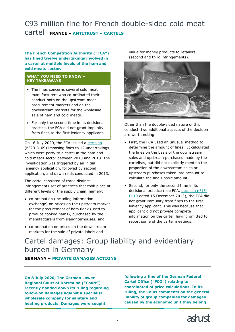# €93 million fine for French double-sided cold meat cartel **FRANCE – ANTITRUST – CARTELS**

**The French Competition Authority ("FCA") has fined twelve undertakings involved in a cartel at multiple levels of the ham and cold meats sector.**

#### **WHAT YOU NEED TO KNOW – KEY TAKEAWAYS**

- The fines concerns several cold meat manufacturers who co-ordinated their conduct both on the upstream meat procurement markets and on the downstream markets for the wholesale sale of ham and cold meats.
- For only the second time in its decisional practice, the FCA did not grant impunity from fines to the first leniency applicant.

On 16 July 2020, the FCA issued a [decision](https://www.autoritedelaconcurrence.fr/en/press-release/autorite-hands-out-fines-worth-93-million-euros-cartel-ham-and-cold-meats-charcuterie) (n°20-D-09) imposing fines to 12 undertakings which were party to a cartel in the ham and cold meats sector between 2010 and 2013. The investigation was triggered by an initial leniency application, followed by second application, and dawn raids conducted in 2013.

The cartel consisted of three distinct infringements set of practices that took place at different levels of the supply chain, namely:

- co-ordination (including information exchange) on prices on the upstream market for the procurement of ham flank (used to produce cooked hams), purchased by the manufacturers from slaughterhouses; and
- co-ordination on prices on the downstream markets for the sale of private labels and

value for money products to retailers (second and third infringements).



Other than the double-sided nature of this conduct, two additional aspects of the decision are worth noting:

- First, the FCA used an unusual method to determine the amount of fines. It calculated the fines on the basis of the downstream sales and upstream purchases made by the cartelists, but did not explicitly mention the proportion of the downstream sales or upstream purchases taken into account to calculate the fine's basic amount.
- Second, for only the second time in its decisional practice (see FCA, [decision n°15-](https://www.autoritedelaconcurrence.fr/sites/default/files/commitments/15d19.pdf) [D-19](https://www.autoritedelaconcurrence.fr/sites/default/files/commitments/15d19.pdf) dated 15 December 2015), the FCA did not grant immunity from fines to the first leniency applicant. This was because that applicant did not provide complete information on the cartel, having omitted to report some of the cartel meetings.

# <span id="page-8-0"></span>Cartel damages: Group liability and evidentiary burden in Germany

**GERMANY – PRIVATE DAMAGES ACTIONS** 

**On 8 July 2020, The German Lower Regional Court of Dortmund ("Court") recently handed down its [ruling](https://www.justiz.nrw.de/nrwe/lgs/dortmund/lg_dortmund/j2020/8_O_75_19_Kart_Urteil_20200708.html) regarding follow-on damages against a specialist wholesale company for sanitary and heating products. Damages were sought** 

**following a fine of the German Federal Cartel Office ("FCO") relating to coordinated of price calculations. In its ruling, the Court comments on the general liability of group companies for damages caused by the economic unit they belong** 

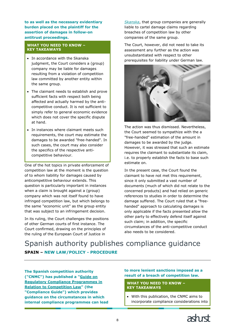**to as well as the necessary evidentiary burden placed on the plaintiff for the assertion of damages in follow-on antitrust proceedings.**

#### **WHAT YOU NEED TO KNOW – KEY TAKEAWAYS**

- In accordance with the Skanska judgment, the Court considers a (group) company may be liable for damages resulting from a violation of competition law committed by another entity within the same group.
- The claimant needs to establish and prove sufficient facts with respect both being affected and actually harmed by the anticompetitive conduct. It is not sufficient to simply refer to general economic evidence which does not cover the specific dispute at hand.
- In instances where claimant meets such requirements, the court may estimate the damages to be awarded "free-handed". In such cases, the court may also consider the specifics of the respective anticompetitive behaviour.

One of the hot topics in private enforcement of competition law at the moment is the question of to whom liability for damages caused by anticompetitive behaviour extends. This question is particularly important in instances when a claim is brought against a (group) company which was not itself found to have infringed competition law, but which belongs to the same "economic unit" as the group entity that was subject to an infringement decision.

In its ruling, the Court challenges the positions of other German courts of first instance. The Court confirmed, drawing on the principles of the ruling of the European Court of Justice in

*[Skanska](https://www.ashurst.com/en/news-and-insights/legal-updates/non-infringing-parents-can-be-liable-in-damages-for-subsidiaries-conduct/)*, that group companies are generally liable to cartel damage claims regarding breaches of competition law by other companies of the same group.

The Court, however, did not need to take its assessment any further as the action was unsubstantiated with respect to other prerequisites for liability under German law.



The action was thus dismissed. Nevertheless, the Court seemed to sympathize with the a "free-handed" estimation of the amount in damages to be awarded by the judge. However, it was stressed that such an estimate requires the claimant to substantiate its claim, i.e. to properly establish the facts to base such estimate on.

In the present case, the Court found the claimant to have not met this requirement, since it only submitted a vast number of documents (much of which did not relate to the concerned products) and had relied on generic references to studies in order to determine the damage suffered. The Court ruled that a "freehanded" approach to calculating damages is only applicable if the facts presented allow the other party to effectively defend itself against such claim; in addition, the specific circumstances of the anti-competitive conduct also needs to be considered.

<span id="page-9-0"></span>Spanish authority publishes compliance guidance **SPAIN – NEW LAW/POLICY - PROCEDURE**

**The Spanish competition authority ("CNMC") has published a ["Guide on](https://www.cnmc.es/sites/default/files/editor_contenidos/Competencia/Normativas_guias/202006_Guia_Compliance_FINAL.pdf)  [Regulatory Compliance Programmes in](https://www.cnmc.es/sites/default/files/editor_contenidos/Competencia/Normativas_guias/202006_Guia_Compliance_FINAL.pdf)  [Relation to Competition Law"](https://www.cnmc.es/sites/default/files/editor_contenidos/Competencia/Normativas_guias/202006_Guia_Compliance_FINAL.pdf) (the "Compliance Guide") which provides guidance on the circumstances in which internal compliance programmes can lead** 

### **to more lenient sanctions imposed as a result of a breach of competition law.**

#### **WHAT YOU NEED TO KNOW – KEY TAKEAWAYS**

• With this publication, the CNMC aims to incorporate compliance considerations into

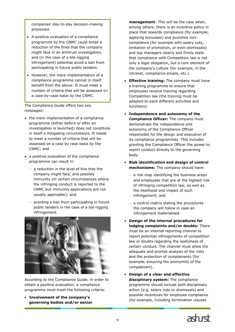companies' day-to-day decision-making processes.

- A positive evaluation of a compliance programme by the CNMC could entail a reduction of the fines that the company might face in an antitrust investigation, and (in the case of a bid-rigging infringement) potential avoid a ban from participating in future public tenders.
- However, the mere implementation of a compliance programme cannot in itself benefit from the above. It must meet a number of criteria that will be assessed on a case-by-case basis by the CNMC.

The Compliance Guide offers two key messages:

- the mere implementation of a compliance programme (either before or after an investigation is launched) does not constitute in itself a mitigating circumstance. It needs to meet a number of criteria that will be assessed on a case by case basis by the CNMC; and
- a positive evaluation of the compliance programme can result in:
	- − a reduction in the level of fine that the company might face, and possibly immunity (in certain circumstances where the infringing conduct is reported to the CNMC but immunity applications are not usually applicable); and
	- − avoiding a ban from participating in future public tenders in the case of a bid-rigging infringement.



According to the Compliance Guide, in order to obtain a positive evaluation, a compliance programme must meet the following criteria:

• **Involvement of the company's governing bodies and/or senior** 

**management**: This will be the case when, among others, there is an incentive policy in place that rewards compliance (for example, applying bonusses) and punishes noncompliance (for example with salary cuts, limitation of promotion, or even dismissals) and top managers clearly and firmly state that compliance with Competition law is not only a legal obligation, but a core element of the company's culture (for example, in the intranet, compliance emails, etc.).

- **Effective training:** The company must have a training programme to ensure that employees receive training regarding Competition law (the training must be adapted to each different activities and functions).
- **Independence and autonomy of the Compliance Officer:** The company must demonstrate the independence and autonomy of the Compliance Officer responsible for the design and execution of its compliance programmes. This includes granting the Compliance Officer the power to report conduct directly to the governing body.
- **Risk identification and design of control mechanisms:** The company should have:
	- − a risk map identifying the business areas and employees that are at the highest risk of infringing competition law, as well as the likelihood and impact of such infringement; and
	- − a control matrix stating the procedures the company will follow in case an infringement materialised.
- **Design of the internal procedures for lodging complaints and/or doubts:** There must be an internal reporting channel to report potential infringements of competition law or doubts regarding the lawfulness of certain conduct. The channel must allow the adequate and prompt analysis of the risks and the protection of complainants (for example, ensuring the anonymity of the complainant).
- **Design of a clear and effective disciplinary system:** The compliance programme should include both disciplinary action (e.g. salary cuts or dismissals) and possible incentives for employee compliance (for example, including termination clauses

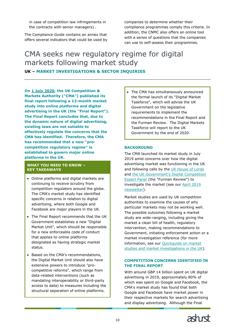in case of competition law infringements in the contracts with senior managers) .

The Compliance Guide contains an annex that offers several indicators that could be used by companies to determine whether their compliance programmes comply this criteria. In addition, the CNMC also offers an online tool with a series of questions that the companies can use to self-assess their programmes.

# <span id="page-11-0"></span>CMA seeks new regulatory regime for digital markets following market study **UK – MARKET INVESTIGATIONS & SECTOR INQUIRIES**

**On [1 July 2020,](https://www.gov.uk/cma-cases/online-platforms-and-digital-advertising-market-study) the UK Competition & Markets Authority ("CMA") published its final report following a 12-month market study into online platforms and digital advertising in the UK (the "Final Report"). The Final Report concludes that, due to the dynamic nature of digital advertising, existing laws are not suitable to effectively regulate the concerns that the CMA has identified. Therefore, the CMA has recommended that a new "procompetition regulatory regime" is established to govern major online** 

### **WHAT YOU NEED TO KNOW – KEY TAKEAWAYS**

**platforms in the UK.**

- Online platforms and digital markets are continuing to receive scrutiny from competition regulators around the globe. The CMA's market study has identified specific concerns in relation to digital advertising, where both Google and Facebook are major players in the UK.
- The Final Report recommends that the UK Government establishes a new "Digital Market Unit", which should be responsible for a new enforceable code of conduct that applies to online platforms designated as having strategic market status.
- Based on the CMA's recommendations, the Digital Market Unit should also have extensive powers to introduce "procompetitive reforms", which range from data-related interventions (such as mandating interoperability or third-party access to data) to measures including the structural separation of online platforms.

The CMA has simultaneously announced the formal launch of its "Digital Market Taskforce", which will advise the UK Government on the legislative requirements to implement the recommendations in the Final Report and the Furman Review. The Digital Markets Taskforce will report to the UK Government by the end of 2020.

### **BACKGROUND**

The CMA launched its market study in July 2019 amid concerns over how the digital advertising market was functioning in the UK and following calls by the [UK House of Lords](https://publications.parliament.uk/pa/ld201719/ldselect/ldcomuni/116/11602.htm) and [the UK Government's Digital Competition](https://www.gov.uk/government/publications/unlocking-digital-competition-report-of-the-digital-competition-expert-panel)  [Expert Panel](https://www.gov.uk/government/publications/unlocking-digital-competition-report-of-the-digital-competition-expert-panel) (the "Furman Review") to investigate the market (see our [April 2019](https://www.ashurst.com/en/news-and-insights/legal-updates/uk-report-on-competition-law-in-the-digital-economy-and-cmas-response/)  [newsletter\)](https://www.ashurst.com/en/news-and-insights/legal-updates/uk-report-on-competition-law-in-the-digital-economy-and-cmas-response/).

Market studies are used by UK competition authorities to examine the causes of why particular markets may not be working well. The possible outcomes following a market study are wide-ranging, including giving the market a clean bill of health, regulatory intervention, making recommendations to Government, initiating enforcement action or a market investigation reference (for more information, see our [Quickguide on market](https://www.ashurst.com/en/news-and-insights/legal-updates/quickguide-the-use-of-market-studies-and-market-investigations-in-uk-competition-law/)  [studies and market investigations in the UK\)](https://www.ashurst.com/en/news-and-insights/legal-updates/quickguide-the-use-of-market-studies-and-market-investigations-in-uk-competition-law/).

### **COMPETITION CONCERNS IDENTIFIED IN THE FINAL REPORT**

With around GBP 14 billion spent on UK digital advertising in 2019, approximately 80% of which was spent on Google and Facebook, the CMA's market study has found that both Google and Facebook have market power in their respective markets for search advertising and display advertising. Although the Final

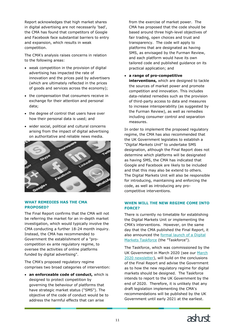Report acknowledges that high market shares in digital advertising are not necessarily 'bad', the CMA has found that competitors of Google and Facebook face substantial barriers to entry and expansion, which results in weak competition.

The CMA's analysis raises concerns in relation to the following areas:

- weak competition in the provision of digital advertising has impacted the rate of innovation and the prices paid by advertisers (which are ultimately reflected in the prices of goods and services across the economy);
- the compensation that consumers receive in exchange for their attention and personal data;
- the degree of control that users have over how their personal data is used; and
- wider social, political and cultural concerns arising from the impact of digital advertising on authoritative and reliable news media.



#### **WHAT REMEDIES HAS THE CMA PROPOSED?**

The Final Report confirms that the CMA will not be referring the market for an in-depth market investigation, which would typically involve the CMA conducting a further 18-24 month inquiry. Instead, the CMA has recommended to Government the establishment of a "procompetition ex ante regulatory regime, to oversee the activities of online platforms funded by digital advertising".

The CMA's proposed regulatory regime comprises two broad categories of intervention:

• **an enforceable code of conduct,** which is designed to protect competition by governing the behaviour of platforms that have strategic market status ("SMS"). The objective of the code of conduct would be to address the harmful effects that can arise

from the exercise of market power. The CMA has proposed that the code should be based around three high-level objectives of fair trading, open choices and trust and transparency. The code will apply to platforms that are designated as having SMS, as envisaged by the Furman Review, and each platform would have its own tailored code and published guidance on its practical application; and

• **a range of pro-competitive** 

**interventions,** which are designed to tackle the sources of market power and promote competition and innovation. This includes data-related remedies such as the provision of third-party access to data and measures to increase interoperability (as suggested by the Furman Review), as well as remedies including consumer control and separation measures.

In order to implement the proposed regulatory regime, the CMA has also recommended that the UK Government legislates to establish a "*Digital Markets Unit*" to undertake SMS designation, although the Final Report does not determine which platforms will be designated as having SMS, the CMA has indicated that Google and Facebook are likely to be included and that this may also be extend to others. The Digital Markets Unit will also be responsible for introducing, maintaining and enforcing the code, as well as introducing any procompetitive interventions.

### **WHEN WILL THE NEW REGIME COME INTO FORCE?**

There is currently no timetable for establishing the Digital Markets Unit or implementing the CMA's interventions. However, on the same day that the CMA published the Final Report, it also announced the [formal launch of a](https://www.gov.uk/cma-cases/digital-markets-taskforce) Digital [Markets Taskforce](https://www.gov.uk/cma-cases/digital-markets-taskforce) (the "Taskforce").

The Taskforce, which was commissioned by the UK Government in March 2020 (see our [March](https://www.ashurst.com/en/news-and-insights/legal-updates/competition-law-newsletter-march-april-2020/cn15-budget-2020-and-cma-annual-plan-ambitions-for-uk-competition-law/)  [2020 newsletter\)](https://www.ashurst.com/en/news-and-insights/legal-updates/competition-law-newsletter-march-april-2020/cn15-budget-2020-and-cma-annual-plan-ambitions-for-uk-competition-law/), will build on the conclusions of the Final Report and advise the Government as to how the new regulatory regime for digital markets should be designed. The Taskforce intends to report to the UK Government by the end of 2020. Therefore, it is unlikely that any draft legislation implementing the CMA's recommendations will be published by the UK Government until early 2021 at the earliest.

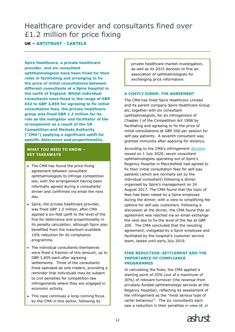# <span id="page-13-0"></span>Healthcare provider and consultants fined over £1.2 million for price fixing

# **UK – ANTITRUST - CARTELS**

**Spire Healthcare, a private healthcare provider, and six consultant ophthalmologists have been fined for their roles in facilitating and arranging to fix the price of initial consultations between different consultants at a Spire hospital in the north of England. Whilst individual consultants were fined in the range of GBP 642 to GBP 3,859 for agreeing to fix initial consultation fees, the private healthcare group was fined GBP 1.2 million for its role as the instigator and facilitator of the arrangement as a result of the UK Competition and Markets Authority ("CMA") applying a significant uplift for specific deterrence and proportionality.** 

### **WHAT YOU NEED TO KNOW – KEY TAKEAWAYS**

- The CMA has found the price-fixing agreement between consultant ophthalmologists to infringe competition law, with the arrangement having been informally agreed during a consultants' dinner and confirmed via email the next day.
- Spire, the private healthcare provider, was fined GBP 1.2 million, after CMA applied a six-fold uplift to the level of the fine for deterrence and proportionality in its penalty calculation, although Spire also benefited from the maximum available 10% reduction for its compliance programme.
- The individual consultants themselves were fined a fraction of this amount, up to GBP 3,859 each after agreeing settlements. Three of the consultants fined operated as sole traders, providing a reminder that individuals may be subject to civil penalties for competition law infringements where they are engaged in economic activity.
- This case continues a long-running focus by the CMA in this sector, following its

private healthcare market investigation, as well as its 2015 decision to fine an association of ophthalmologists for exchanging price information.

### **A COSTLY DINER: THE AGREEMENT**

The CMA has fined Spire Healthcare Limited and its parent company Spire Healthcare Group plc, together with six consultant ophthalmologists, for an infringement of Chapter I of the Competition Act 1998 by facilitating and agreeing to fix the price of initial consultations at GBP 200 per session for self-pay patients. A seventh consultant was granted immunity after applying for leniency.

According to the CMA's infringement [decision](https://assets.publishing.service.gov.uk/media/5f108591d3bf7f5badfe3d6c/Case_50782_Non-confidential_decision_PDFA.pdf) issued on 1 July 2020, seven consultant ophthalmologists operating out of Spire's Regency Hospital in Macclesfield had agreed to fix their initial consultation fees for self-pay patients (which are normally set by the individual consultant) following a dinner organised by Spire's management on 24 August 2017. The CMA found that the topic of fees had been raised by a Spire employee during the dinner, with a view to simplifying fee options for self-pay customers. Following a discussion at the dinner, the CMA found that an agreement was reached via an email exchange the next day to fix the level of the fee at GBP 200. The CMA concluded that the resulting agreement, instigated by a Spire employee and facilitated by the hospital's customer service team, lasted until early July 2019.

#### **FINE REDUCTION: SETTLEMENT AND THE IMPORTANCE OF COMPLIANCE PROGRAMMES**

In calculating the fines, the CMA applied a starting point of 25% (out of a maximum of 30%) of relevant turnover (the revenue from privately-funded ophthalmology services at the Regency Hospital), reflecting its assessment of the infringement as the "most serious type of cartel behaviour". The six consultants each saw a reduction in their penalties in view of, in

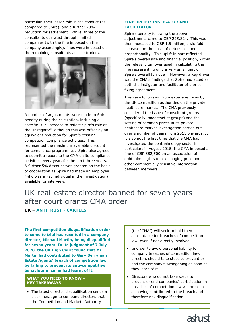particular, their lessor role in the conduct (as compared to Spire), and a further 20% reduction for settlement. While three of the consultants operated through limited companies (with the fine imposed on the company accordingly), fines were imposed on the remaining consultants as sole traders.



A number of adjustments were made to Spire's penalty during the calculation, including a specific 10% increase to reflect Spire's role as the "instigator", although this was offset by an equivalent reduction for Spire's existing competition compliance activities. This represented the maximum available discount for compliance programmes. Spire also agreed to submit a report to the CMA on its compliance activities every year, for the next three years. A further 5% discount was granted on the basis of cooperation as Spire had made an employee (who was a key individual in the investigation) available for interview.

#### **FINE UPLIFT: INSTIGATOR AND FACILITATOR**

Spire's penalty following the above adjustments came to GBP 225,824. This was then increased to GBP 1.5 million, a six-fold increase, on the basis of deterrence and proportionality. This uplift in part reflected Spire's overall size and financial position, within the relevant turnover used in calculating the fine representing only a very small part of Spire's overall turnover. However, a key driver was the CMA's findings that Spire had acted as both the instigator and facilitator of a price fixing agreement.

This case follows-on from extensive focus by the UK competition authorities on the private healthcare market. The CMA previously considered the issue of consultant groups (specifically, anaesthetist groups) and the setting of common prices in its private healthcare market investigation carried out over a number of years from 2011 onwards. It is also not the first time that the CMA has investigated the ophthalmology sector in particular; in August 2015, the CMA imposed a fine of GBP 382,500 on an association of ophthalmologists for exchanging price and other commercially sensitive information between members

# <span id="page-14-0"></span>UK real-estate director banned for seven years after court grants CMA order

**UK – ANTITRUST - CARTELS**

**The first competition disqualification order to come to trial has resulted in a company director, Michael Martin, being disqualified for seven years. In its judgment of 7 July 2020, the UK High Court found that Mr Martin had contributed to Gary Berryman Estate Agents' breach of competition law by failing to prevent its anti-competitive behaviour once he had learnt of it.**

#### **WHAT YOU NEED TO KNOW – KEY TAKEAWAYS**

• The latest director disqualification sends a clear message to company directors that the Competition and Markets Authority

(the "CMA") will seek to hold them accountable for breaches of competition law, even if not directly involved.

- In order to avoid personal liability for company breaches of competition law, directors should take steps to prevent or end the company's wrongdoing as soon as they learn of it.
- Directors who do not take steps to prevent or end companies' participation in breaches of competition law will be seen as having contributed to the breach and therefore risk disqualification.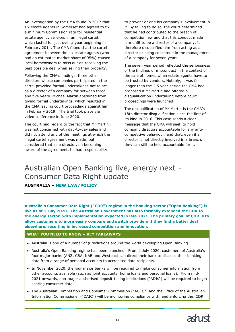An investigation by the CMA found in 2017 that six estate agents in Somerset had agreed to fix a minimum Commission rate for residential estate agency services in an illegal cartel, which lasted for just over a year beginning in February 2014. The CMA found that the cartel agreement between the six estate agents (who had an estimated market share of 95%) caused local homeowners to miss out on receiving the best possible deal when selling their property.

Following the CMA's findings, three other directors whose companies participated in the cartel provided formal undertakings not to act as a director of a company for between three and five years. Michael Martin abstained from giving formal undertakings, which resulted in the CMA issuing court proceedings against him in February 2019. The trial took place via video conference in June 2020.

The court had regard to the fact that Mr Martin was not concerned with day-to-day sales and did not attend any of the meetings at which the illegal cartel agreement was made, but considered that as a director, on becoming aware of the agreement, he had responsibility

to prevent or end his company's involvement in it. By failing to do so, the court determined that he had contributed to the breach of competition law and that this conduct made him unfit to be a director of a company. It therefore disqualified him from acting as a director or being concerned in the management of a company for seven years.

The seven year period reflected the seriousness of the findings of misconduct in the context of the sale of homes when estate agents have to be trusted by vendors. Notably, it was far longer than the 2.5 year period the CMA had proposed if Mr Martin had offered a disqualification undertaking before court proceedings were launched.

The disqualification of Mr Martin is the CMA's 18th director disqualification since the first of its kind in 2016. This case sends a clear message that the CMA will seek to hold company directors accountable for any anticompetitive behaviour, and that, even if a director is not directly involved in a breach, they can still be held accountable for it.

# <span id="page-15-0"></span>Australian Open Banking live, energy next - Consumer Data Right update

# **AUSTRALIA – NEW LAW/POLICY**

**Australia's Consumer Data Right ("CDR") regime in the banking sector ("Open Banking") is live as of 1 July 2020. The Australian Government has also formally extended the CDR to the energy sector, with implementation expected in late 2021. The primary goal of CDR is to allow customers to more easily compare and switch providers if they find a better deal elsewhere, resulting in increased competition and innovation.**

#### **WHAT YOU NEED TO KNOW – KEY TAKEAWAYS**

- Australia is one of a number of jurisdictions around the world developing Open Banking.
- Australia's Open Banking regime has been launched. From 1 July 2020, customers of Australia's four major banks (ANZ, CBA, NAB and Westpac) can direct their bank to disclose their banking data from a range of personal accounts to accredited data recipients.
- In November 2020, the four major banks will be required to make consumer information from other accounts available (such as joint accounts, home loans and personal loans). From mid-2021 onwards, non-major authorised deposit-taking institutions ("ADIs") will be required to begin sharing consumer data.
- The Australian Competition and Consumer Commission ("ACCC") and the Office of the Australian Information Commissioner ("OAIC") will be monitoring compliance with, and enforcing the, CDR

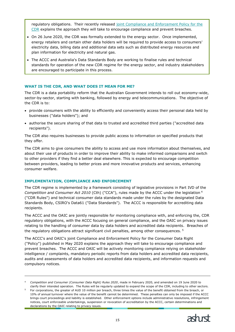regulatory obligations. Their recently released [joint Compliance and Enforcement Policy for the](https://www.accc.gov.au/focus-areas/consumer-data-right-cdr-0/cdr-compliance-and-enforcement-policy)  [CDR](https://www.accc.gov.au/focus-areas/consumer-data-right-cdr-0/cdr-compliance-and-enforcement-policy) explains the approach they will take to encourage compliance and prevent breaches.

- On 26 June 2020, the CDR was formally extended to the energy sector. Once implemented, energy retailers and certain other data holders will be required to provide access to consumers' electricity data, billing data and additional data sets such as distributed energy resources and plan information for electricity and natural gas.
- The ACCC and Australia's Data Standards Body are working to finalise rules and technical standards for operation of the new CDR regime for the energy sector, and industry stakeholders are encouraged to participate in this process.

#### **WHAT IS THE CDR, AND WHAT DOES IT MEAN FOR ME?**

The CDR is a data portability reform that the Australian Government intends to roll out economy-wide, sector-by-sector, starting with banking, followed by energy and telecommunications. The objective of the CDR is to:

- provide consumers with the ability to efficiently and conveniently access their personal data held by businesses ("data holders"); and
- authorise the secure sharing of that data to trusted and accredited third parties ("accredited data recipients").

The CDR also requires businesses to provide public access to information on specified products that they offer.

The CDR aims to give consumers the ability to access and use more information about themselves, and about their use of products in order to improve their ability to make informed comparisons and switch to other providers if they find a better deal elsewhere. This is expected to encourage competition between providers, leading to better prices and more innovative products and services, enhancing consumer welfare.

#### **IMPLEMENTATION, COMPLIANCE AND ENFORCEMENT**

ł

The CDR regime is implemented by a framework consisting of legislative provisions in Part IVD of the *Competition and Consumer Act 2010* (Cth) ("CCA"), rules made by the ACCC under the legislation <sup>4</sup> ("CDR Rules") and technical consumer data standards made under the rules by the designated Data Standards Body, CSIRO's Data61 ("Data Standards"). The ACCC is responsible for accrediting data recipients.

The ACCC and the OAIC are jointly responsible for monitoring compliance with, and enforcing the, CDR regulatory obligations, with the ACCC focusing on general compliance, and the OAIC on privacy issues relating to the handling of consumer data by data holders and accredited data recipients. Breaches of the regulatory obligations attract significant civil penalties, among other consequences.  $5$ 

The ACCC's and OAIC's joint Compliance and Enforcement Policy for the Consumer Data Right ("Policy") published in May 2020 explains the approach they will take to encourage compliance and prevent breaches. The ACCC and OAIC will be actively monitoring compliance relying on stakeholder intelligence / complaints, mandatory periodic reports from data holders and accredited data recipients, audits and assessments of data holders and accredited data recipients, and information requests and compulsory notices.

<sup>5</sup> For corporations, the greater of AUD 10 million per breach, three times the value of the benefit obtained from the breach, or 10% of annual turnover where the value of the benefit cannot be determined. These penalties can only be imposed if the ACCC brings court proceedings and liability is established. Other enforcement options include administrative resolutions, infringement notices, court enforceable undertakings, suspension or revocation of accreditation by the ACCC, certain determinations and declarations by the OAIC relating to privacy issues.



<sup>4</sup> *Competition and Consumer (Consumer Data Right) Rules 2020*, made in February 2020, and amended on 19 June 2020 to clarify their intended operation. The Rules will be regularly updated to expand the scope of the CDR, including to other sectors.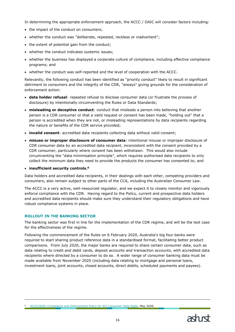In determining the appropriate enforcement approach, the ACCC / OAIC will consider factors including:

- the impact of the conduct on consumers;
- whether the conduct was "deliberate, repeated, reckless or inadvertent";
- the extent of potential gain from the conduct;
- whether the conduct indicates systemic issues;
- whether the business has displayed a corporate culture of compliance, including effective compliance programs; and
- whether the conduct was self-reported and the level of cooperation with the ACCC.

Relevantly, the following conduct has been identified as "priority conduct" likely to result in significant detriment to consumers and the integrity of the CDR, "always" giving grounds for the consideration of enforcement action:

- **data holder refusal**: repeated refusal to disclose consumer data (or frustrate the process of disclosure) by intentionally circumventing the Rules or Data Standards;
- **misleading or deceptive conduct**: conduct that misleads a person into believing that another person is a CDR consumer or that a valid request or consent has been made, "holding out" that a person is accredited when they are not, or misleading representations by data recipients regarding the nature or benefits of the CDR service provided;
- **invalid consent**: accredited data recipients collecting data without valid consent;
- **misuse or improper disclosure of consumer data**: intentional misuse or improper disclosure of CDR consumer data by an accredited data recipient, inconsistent with the consent provided by a CDR consumer, particularly where consent has been withdrawn. This would also include circumventing the "data minimisation principle", which requires authorised data recipients to only collect the minimum data they need to provide the products the consumer has consented to; and

• **insufficient security controls.<sup>6</sup>**

Data holders and accredited data recipients, in their dealings with each other, competing providers and consumers, also remain subject to other parts of the CCA, including the Australian Consumer Law.

The ACCC is a very active, well-resourced regulator, and we expect it to closely monitor and vigorously enforce compliance with the CDR. Having regard to the Policy, current and prospective data holders and accredited data recipients should make sure they understand their regulatory obligations and have robust compliance systems in place.

### **ROLLOUT IN THE BANKING SECTOR**

ł

The banking sector was first in line for the implementation of the CDR regime, and will be the test case for the effectiveness of the regime.

Following the commencement of the Rules on 6 February 2020, Australia's big four banks were required to start sharing product reference data in a standardised format, facilitating better product comparisons. From July 2020, the major banks are required to share certain consumer data, such as data relating to credit and debit cards, deposit accounts and transaction accounts, with accredited data recipients where directed by a consumer to do so. A wider range of consumer banking data must be made available from November 2020 (including data relating to mortgage and personal loans, investment loans, joint accounts, closed accounts, direct debits, scheduled payments and payees).

<sup>6</sup> [ACCC/OAIC Compliance and Enforcement Policy for the Consumer Data Right,](https://www.accc.gov.au/system/files/CDR%20-%20CE%20-%20Joint%20ACCC%20and%20OAIC%20compliance%20and%20enforcement%20policy%20-%208%20May%202020.pdf) May 2020.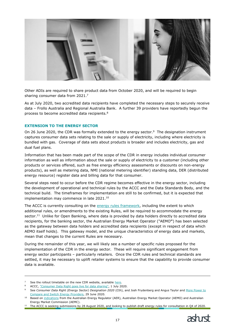

Other ADIs are required to share product data from October 2020, and will be required to begin sharing consumer data from 2021.<sup>7</sup>

As at July 2020, two accredited data recipients have completed the necessary steps to securely receive data – Frollo Australia and Regional Australia Bank. A further 39 providers have reportedly begun the process to become accredited data recipients.<sup>8</sup>

#### **EXTENSION TO THE ENERGY SECTOR**

On 26 June 2020, the CDR was formally extended to the energy sector.<sup>9</sup> The designation instrument captures consumer data sets relating to the sale or supply of electricity, including where electricity is bundled with gas. Coverage of data sets about products is broader and includes electricity, gas and dual fuel plans.

Information that has been made part of the scope of the CDR in energy includes individual consumer information as well as information about the sale or supply of electricity to a customer (including other products or services offered, such as free energy efficiency assessments or discounts on non-energy products), as well as metering data, NMI (national metering identifier) standing data, DER (distributed energy resource) register data and billing data for that consumer.

Several steps need to occur before the CDR regime becomes effective in the energy sector, including the development of operational and technical rules by the ACCC and the Data Standards Body, and the technical build. The timeframes for implementation are still to be confirmed, but it is expected that implementation may commence in late 2021.<sup>10</sup>

The ACCC is currently consulting on the [energy rules framework,](https://www.accc.gov.au/system/files/CDR%20-%20Energy%20rules%20framework%20consultation%20paper%20-%20July%202020.pdf) including the extent to which additional rules, or amendments to the existing Rules, will be required to accommodate the energy sector.<sup>11</sup> Unlike for Open Banking, where data is provided by data holders directly to accredited data recipients, for the banking sector, the Australian Energy Market Operator ("AEMO**"**) has been selected as the gateway between data holders and accredited data recipients (except in respect of data which AEMO itself holds). This gateway model, and the unique characteristics of energy data and markets, mean that changes to the current Rules are necessary.

During the remainder of this year, we will likely see a number of specific rules proposed for the implementation of the CDR in the energy sector. These will require significant engagement from energy sector participants – particularly retailers. Once the CDR rules and technical standards are settled, it may be necessary to uplift retailer systems to ensure that the capability to provide consumer data is available.

ł

<sup>&</sup>lt;sup>11</sup> The ACCC is seeking submissions by 28 August 2020, and looking to publish draft energy rules for consultation in Q4 of 2020.



See the rollout timetable on the new CDR website, available [here.](https://www.cdr.gov.au/sites/default/files/2020-06/Revised%20phasing%20table%20-%2023%20June%202020.pdf)

<sup>8</sup> ACCC, ["Consumer Data Right goes live for data sharing",](https://www.accc.gov.au/media-release/consumer-data-right-goes-live-for-data-sharing) 1 July 2020.

<sup>9</sup> See *Consumer Data Right (Energy Sector) Designation 2020* (Cth), and Josh Frydenberg and Angus Taylor and [More Power to](https://ministers.treasury.gov.au/ministers/josh-frydenberg-2018/media-releases/more-power-compare-and-switch-energy-providers)  [Compare and Switch Energy Providers,](https://ministers.treasury.gov.au/ministers/josh-frydenberg-2018/media-releases/more-power-compare-and-switch-energy-providers) 29 June 2020.

<sup>10</sup> Based on [indications](https://www.aer.gov.au/system/files/joint-market-body-prioritisation-framework.pdf) from the Australian Energy Regulator (AER), Australian Energy Market Operator (AEMO) and Australian Energy Market Commission (AEMC).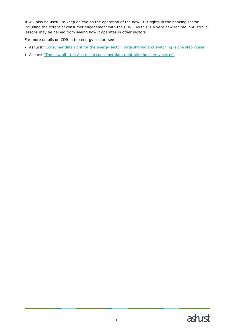It will also be useful to keep an eye on the operation of the new CDR rights in the banking sector, including the extent of consumer engagement with the CDR. As this is a very new regime in Australia, lessons may be gained from seeing how it operates in other sectors.

For more details on CDR in the energy sector, see:

- Ashurst ["Consumer data right for the energy sector: data sharing and switching is one step closer"](https://www.ashurst.com/en/news-and-insights/legal-updates/consumer-data-right-for-the-energy-sector---data-sharing-and-switching-is-one-step-closer/)
- Ashurst "The new oil [the Australian consumer data right hits the energy sector"](https://www.ashurst.com/en/news-and-insights/legal-updates/the-new-oil-the-australian-consumer-data-right-hits-the-energy-sector/)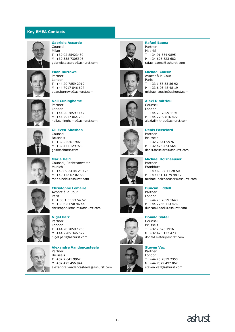### **Key EMEA Contacts**



#### **Gabriele Accardo**

Counsel Milan T +39 02 85423430 M +39 338 7305376 gabriele.accardo@ashurst.com



#### **Euan Burrows** Partner London T +44 20 7859 2919

M +44 7917 846 697 euan.burrows@ashurst.com



#### **Neil Cuninghame** Partner

London T +44 20 7859 1147 M +44 7917 064 750 neil.cuninghame@ashurst.com



**Gil Even-Shoshan** Counsel Brussels T +32 2 626 1907 M +32 471 129 973 ges@ashurst.com



#### **Maria Held** Counsel, Rechtsanwältin Munich T +49 89 24 44 21 176 M +49 172 67 02 553 maria.held@ashurst.com



#### **Christophe Lemaire** Avocat à la Cour

Paris T + 33 1 53 53 54 62 M +33 6 81 98 96 44 christophe.lemaire@ashurst.com



### **Nigel Parr**

Partner London T +44 20 7859 1763 M +44 7785 346 577 nigel.parr@ashurst.com



#### **Alexandre Vandencasteele** Partner Brussels T +32 2 641 9962 M +32 475 456 944













### **Steven Vaz** Partner London T +44 20 7859 2350 M +44 7879 497 862



#### **Rafael Baena** Partner

Madrid T +34 91 364 9895 M +34 676 623 682 rafael.baena@ashurst.com

**Michaël Cousin** Avocat à la Cour Paris T +33 1 53 53 56 92 M +33 6 03 48 48 19 michael.cousin@ashurst.com

#### **Alexi Dimitriou** Counsel

London T +44 20 7859 1191 M +44 7789 816 477 alexi.dimitriou@ashurst.com

**Denis Fosselard** Partner

Brussels T +32 2 641 9976 M +32 476 474 564 denis.fosselard@ashurst.com

**Michael Holzhaeuser** Partner Frankfurt T +49 69 97 11 28 50 M +49 151 14 79 98 17 michael.holzhaeuser@ashurst.com

#### **Duncan Liddell** Partner

London T +44 20 7859 1648 M +44 7766 113 476 duncan.liddell@ashurst.com

#### **Donald Slater**

Counsel Brussels T +32 2 626 1916 M +32 473 132 473 donald.slater@ashrst.com

steven.vaz@ashurst.com

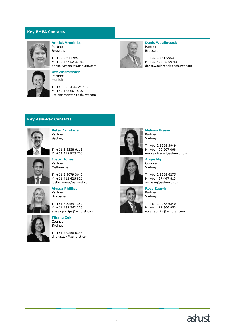### **Key EMEA Contacts**



#### **Annick Vroninks** Partner Brussels

T +32 2 641 9971 M +32 477 52 37 82 annick.vroninks@ashurst.com



# **Ute Zinsmeister**

Partner Munich

T +49 89 24 44 21 187 M +49 172 66 15 078 ute.zinsmeister@ashurst.com



**Denis Waelbroeck** Partner Brussels

T +32 2 641 9963 M +32 475 45 69 43 denis.waelbroeck@ashurst.com

### **Key Asia-Pac Contacts**



**Peter Armitage** Partner Sydney

T +61 2 9258 6119 M +61 418 973 700



peter.armitage@ashurst.com **Justin Jones** Partner Melbourne

T +61 3 9679 3640 M +61 412 426 826 justin.jones@ashurst.com



**Alyssa Phillips** Partner Brisbane

T +61 7 3259 7352 M +61 488 362 225 alyssa.phillips@ashurst.com



**Tihana Zuk** Counsel Sydney

 $T + 61 2 9258 6343$ tihana.zuk@ashurst.com



**Melissa Fraser** Partner Sydney

T +61 2 9258 5949 M +61 400 507 068 melissa.fraser@ashurst.com





**Ross Zaurrini** Partner Sydney

T +61 2 9258 6275 M +61 437 447 813 angie.ng@ashurst.com

**Angie Ng** Counsel Sydney

T +61 2 9258 6840 M +61 411 866 953 ross.zaurrini@ashurst.com